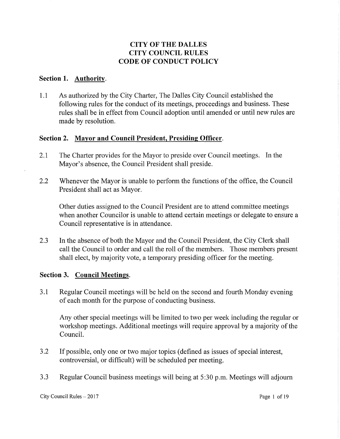# **CITY OF THE DALLES CITY COUNCIL RULES CODE OF CONDUCT POLICY**

### **Section 1. Authority.**

1.1 As authorized by the City Charter, The Dalles City Council established the following rules for the conduct of its meetings, proceedings and business. These rules shall be in effect from Council adoption until amended or until new rules are made by resolution.

## **Section 2. Mayor and Council President, Presiding Officer.**

- 2.1 The Charter provides for the Mayor to preside over Council meetings. In the Mayor's absence, the Council President shall preside.
- 2.2 Whenever the Mayor is unable to perform the functions of the office, the Council President shall act as Mayor.

Other duties assigned to the Council President are to attend committee meetings when another Councilor is unable to attend certain meetings or delegate to ensure a Council representative is in attendance.

2.3 In the absence of both the Mayor and the Council President, the City Clerk shall call the Council to order and call the roll of the members. Those members present shall elect, by majority vote, a temporary presiding officer for the meeting.

# **Section 3. Council Meetings.**

3 .1 Regular Council meetings will be held on the second and fourth Monday evening of each month for the purpose of conducting business.

Any other special meetings will be limited to two per week including the regular or workshop meetings. Additional meetings will require approval by a majority of the Council.

- 3 .2 If possible, only one or two major topics ( defined as issues of special interest, controversial, or difficult) will be scheduled per meeting.
- 3.3 Regular Council business meetings will being at 5:30 p.m. Meetings will adjourn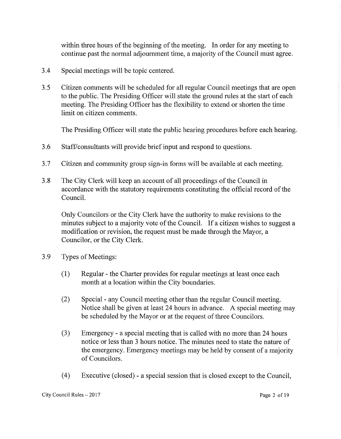within three hours of the beginning of the meeting. In order for any meeting to continue past the normal adjournment time, a majority of the Council must agree.

- 3 .4 Special meetings will be topic centered.
- 3 .5 Citizen comments will be scheduled for all regular Council meetings that are open to the public. The Presiding Officer will state the ground rules at the start of each meeting. The Presiding Officer has the flexibility to extend or shorten the time limit on citizen comments.

The Presiding Officer will state the public hearing procedures before each hearing.

- 3 .6 Staff/consultants will provide brief input and respond to questions.
- 3.7 Citizen and community group sign-in forms will be available at each meeting.
- 3.8 The City Clerk will keep an account of all proceedings of the Council in accordance with the statutory requirements constituting the official record of the Council.

Only Councilors or the City Clerk have the authority to make revisions to the minutes subject to a majority vote of the Council. If a citizen wishes to suggest a modification or revision, the request must be made through the Mayor, a Councilor, or the City Clerk.

- 3.9 Types of Meetings:
	- ( 1) Regular the Charter provides for regular meetings at least once each month at a location within the City boundaries.
	- (2) Special any Council meeting other than the regular Council meeting. Notice shall be given at least 24 hours in advance. A special meeting may be scheduled by the Mayor or at the request of three Councilors.
	- (3) Emergency a special meeting that is called with no more than 24 hours notice or less than 3 hours notice. The minutes need to state the nature of the emergency. Emergency meetings may be held by consent of a majority of Councilors.
	- ( 4) Executive ( closed) a special session that is closed except to the Council,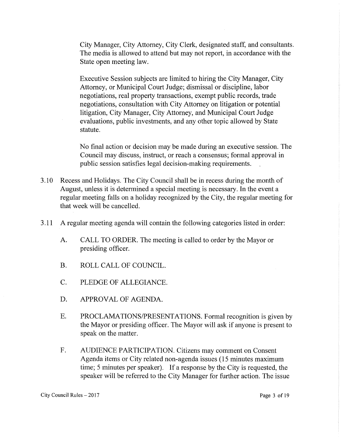City Manager, City Attorney, City Clerk, designated staff, and consultants. The media is allowed to attend but may not report, in accordance with the State open meeting law.

Executive Session subjects are limited to hiring the City Manager, City Attorney, or Municipal Court Judge; dismissal or discipline, labor negotiations, real property transactions, exempt public records, trade negotiations, consultation with City Attorney on litigation or potential litigation, City Manager, City Attorney, and Municipal Court Judge evaluations, public investments, and any other topic allowed by State statute.

No final action or decision may be made during an executive session. The Council may discuss, instruct, or reach a consensus; formal approval in public session satisfies legal decision-making requirements.

- 3 .10 Recess and Holidays. The City Council shall be in recess during the month of August, unless it is determined a special meeting is necessary. In the event a regular meeting falls on a holiday recognized by the City, the regular meeting for that week will be cancelled.
- 3 .11 A regular meeting agenda will contain the following categories listed in order:
	- A. CALL TO ORDER. The meeting is called to order by the Mayor or presiding officer.
	- B. ROLL CALL OF COUNCIL.
	- C. PLEDGE OF ALLEGIANCE.
	- D. APPROVAL OF AGENDA.
	- E. PROCLAMATIONS/PRESENTATIONS. Formal recognition is given by the Mayor or presiding officer. The Mayor will ask if anyone is present to speak on the matter.
	- F. AUDIENCE PARTICIPATION. Citizens may comment on Consent Agenda items or City related non-agenda issues (15 minutes maximum time; 5 minutes per speaker). If a response by the City is requested, the speaker will be referred to the City Manager for further action. The issue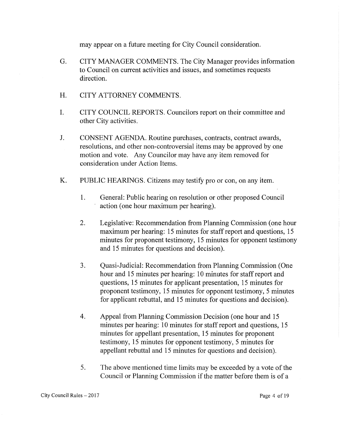may appear on a future meeting for City Council consideration.

- G. CITY MANAGER COMMENTS. The City Manager provides information to Council on current activities and issues, and sometimes requests direction.
- H. CITY ATTORNEY COMMENTS.
- I. CITY COUNCIL REPORTS. Councilors report on their committee and other City activities.
- J. CONSENT AGENDA. Routine purchases, contracts, contract awards, resolutions, and other non-controversial items may be approved by one motion and vote. Any Councilor may have any item removed for consideration under Action Items.
- K. PUBLIC HEARINGS. Citizens may testify pro or con, on any item.
	- 1. General: Public hearing on resolution or other proposed Council action (one hour maximum per hearing).
	- 2. Legislative: Recommendation from Planning Commission ( one hour maximum per hearing: 15 minutes for staff report and questions, 15 minutes for proponent testimony, 15 minutes for opponent testimony and 15 minutes for questions and decision).
	- 3. Quasi-Judicial: Recommendation from Planning Commission (One hour and 15 minutes per hearing: 10 minutes for staff report and questions, 15 minutes for applicant presentation, 15 minutes for proponent testimony, 15 minutes for opponent testimony, 5 minutes for applicant rebuttal, and 15 minutes for questions and decision).
	- 4. Appeal from Planning Commission Decision (one hour and 15 minutes per hearing: 10 minutes for staff report and questions, 15 minutes for appellant presentation, 15 minutes for proponent testimony, 15 minutes for opponent testimony, 5 minutes for appellant rebuttal and 15 minutes for questions and decision).
	- 5. The above mentioned time limits may be exceeded by a vote of the Council or Planning Commission if the matter before them is of a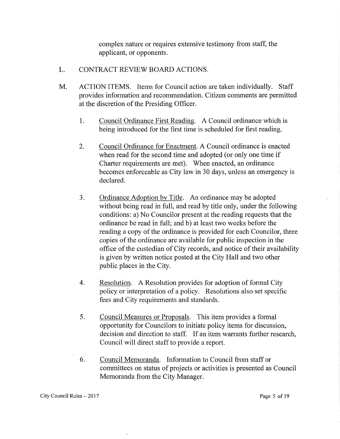complex nature or requires extensive testimony from staff, the applicant, or opponents.

- L. CONTRACT REVIEW BOARD ACTIONS.
- M. ACTION ITEMS. Items for Council action are taken individually. Staff provides information and recommendation. Citizen comments are permitted at the discretion of the Presiding Officer.
	- 1. Council Ordinance First Reading. A Council ordinance which is being introduced for the first time is scheduled for first reading.
	- 2. Council Ordinance for Enactment. A Council ordinance is enacted when read for the second time and adopted (or only one time if Charter requirements are met). When enacted, an ordinance becomes enforceable as City law in 30 days, unless an emergency is declared.
	- 3. Ordinance Adoption by Title. An ordinance may be adopted without being read in full, and read by title only, under the following conditions: a) No Councilor present at the reading requests that the ordinance be read in full; and b) at least two weeks before the reading a copy of the ordinance is provided for each Councilor, three copies of the ordinance are available for public inspection in the office of the custodian of City records, and notice of their availability is given by written notice posted at the City Hall and two other public places in the City.
	- 4. Resolution. A Resolution provides for adoption of formal City policy or interpretation of a policy. Resolutions also set specific fees and City requirements and standards.
	- 5. Council Measures or Proposals. This item provides a formal opportunity for Councilors to initiate policy items for discussion, decision and direction to staff. If an item warrants further research, Council will direct staff to provide a report.
	- 6. Council Memoranda. Information to Council from staff or committees on status of projects or activities is presented as Council Memoranda from the City Manager.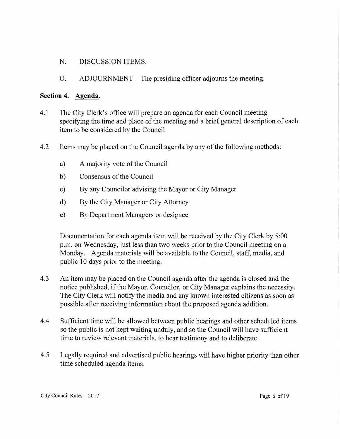- N. DISCUSSION ITEMS.
- 0. ADJOURNMENT. The presiding officer adjourns the meeting.

### **Section 4. Agenda.**

- 4.1 The City Clerk's office will prepare an agenda for each Council meeting specifying the time and place of the meeting and a brief general description of each item to be considered by the Council.
- 4.2 Items may be placed on the Council agenda by any of the following methods:
	- a) A majority vote of the Council
	- b) Consensus of the Council
	- c) By any Councilor advising the Mayor or City Manager
	- d) By the City Manager or City Attorney
	- e) By Department Managers or designee

Documentation for each agenda item will be received by the City Clerk by 5:00 p.m. on Wednesday, just less than two weeks prior to the Council meeting on a Monday. Agenda materials will be available to the Council, staff, media, and public 10 days prior to the meeting.

- 4.3 An item may be placed on the Council agenda after the agenda is closed and the notice published, if the Mayor, Councilor, or City Manager explains the necessity. The City Clerk will notify the media and any known interested citizens as soon as possible after receiving information about the proposed agenda addition.
- 4.4 Sufficient time will be allowed between public hearings and other scheduled items so the public is not kept waiting unduly, and so the Council will have sufficient time to review relevant materials, to hear testimony and to deliberate.
- 4.5 Legally required and advertised public hearings will have higher priority than other time scheduled agenda items.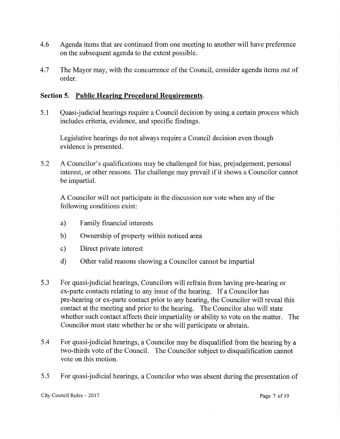- 4.6 Agenda items that are continued from one meeting to another will have preference on the subsequent agenda to the extent possible.
- 4.7 The Mayor may, with the concurrence of the Council, consider agenda items out of order.

# **Section 5. Public Hearing Procedural Requirements.**

5 .1 Quasi-judicial hearings require a Council decision by using a certain process which includes criteria, evidence, and specific findings.

Legislative hearings do not always require a Council decision even though evidence is presented.

5.2 A Councilor's qualifications may be challenged for bias, prejudgement, personal interest, or other reasons. The challenge may prevail if it shows a Councilor cannot be impartial.

A Councilor will not participate in the discussion nor vote when any of the following conditions exist:

- a) Family financial interests
- b) Ownership of property within noticed area
- c) Direct private interest
- d) Other valid reasons showing a Councilor cannot be impartial
- 5.3 For quasi-judicial hearings, Councilors will refrain from having pre-hearing or ex-parte contacts relating to any issue of the hearing. If a Councilor has pre-hearing or ex-parte contact prior to any hearing, the Councilor will reveal this contact at the meeting and prior to the hearing. The Councilor also will state whether such contact affects their impartiality or ability to vote on the matter. The Councilor must state whether he or she will participate or abstain.
- 5.4 For quasi-judicial hearings, a Councilor may be disqualified from the hearing by a two-thirds vote of the Council. The Councilor subject to disqualification cannot vote on this motion.
- 5.5 For quasi-judicial hearings, a Councilor who was absent during the presentation of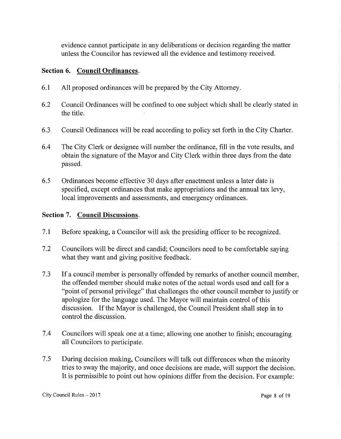evidence cannot participate in any deliberations or decision regarding the matter unless the Councilor has reviewed all the evidence and testimony received.

# **Section 6. Council Ordinances.**

- 6.1 All proposed ordinances will be prepared by the City Attorney.
- 6.2 Council Ordinances will be confined to one subject which shall be clearly stated in the title.
- 6.3 Council Ordinances will be read according to policy set forth in the City Charter.
- 6.4 The City Clerk or designee will number the ordinance, fill in the vote results, and obtain the signature of the Mayor and City Clerk within three days from the date passed.
- 6.5 Ordinances become effective 30 days after enactment unless a later date is specified, except ordinances that make appropriations and the annual tax levy, local improvements and assessments, and emergency ordinances.

# **Section 7. Council Discussions.**

- 7 .1 Before speaking, a Councilor will ask the presiding officer to be recognized.
- 7 .2 Councilors will be direct and candid; Councilors need to be comfortable saying what they want and giving positive feedback.
- 7 .3 If a council member is personally offended by remarks of another council member, the offended member should make notes of the actual words used and call for a "point of personal privilege" that challenges the other council member to justify or apologize for the language used. The Mayor will maintain control of this discussion. If the Mayor is challenged, the Council President shall step in to control the discussion.
- 7.4 Councilors will speak one at a time; allowing one another to finish; encouraging all Councilors to participate.
- 7 .5 During decision making, Councilors will talk out differences when the minority tries to sway the majority, and once decisions are made, will support the decision. It is permissible to point out how opinions differ from the decision. For example:

City Council Rules – 2017 2017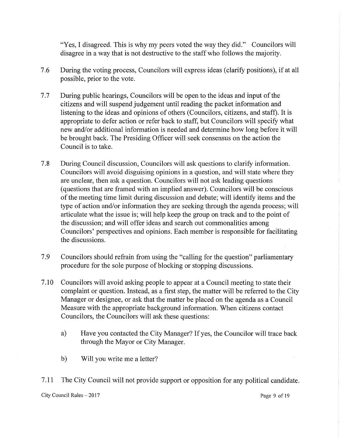"Yes, I disagreed. This is why my peers voted the way they did." Councilors will disagree in a way that is not destructive to the staff who follows the majority.

- 7 .6 During the voting process, Councilors will express ideas ( clarify positions), if at all possible, prior to the vote.
- 7.7 During public hearings, Councilors will be open to the ideas and input of the citizens and will suspend judgement until reading the packet information and listening to the ideas and opinions of others (Councilors, citizens, and staff). It is appropriate to defer action or refer back to staff, but Councilors will specify what new and/or additional information is needed and determine how long before it will be brought back. The Presiding Officer will seek consensus on the action the Council is to take.
- 7 .8 During Council discussion, Councilors will ask questions to clarify information. Councilors will avoid disguising opinions in a question, and will state where they are unclear, then ask a question. Councilors will not ask leading questions (questions that are framed with an implied answer). Councilors will be conscious of the meeting time limit during discussion and debate; will identify items and the type of action and/or information they are seeking through the agenda process; will articulate what the issue is; will help keep the group on track and to the point of the discussion; and will offer ideas and search out commonalities among Councilors' perspectives and opinions. Each member is responsible for facilitating the discussions.
- 7 .9 Councilors should refrain from using the "calling for the question" parliamentary procedure for the sole purpose of blocking or stopping discussions.
- 7 .10 Councilors will avoid asking people to appear at a Council meeting to state their complaint or question. Instead, as a first step, the matter will be referred to the City Manager or designee, or ask that the matter be placed on the agenda as a Council Measure with the appropriate background information. When citizens contact Councilors, the Councilors will ask these questions:
	- a) Have you contacted the City Manager? If yes, the Councilor will trace back through the Mayor or City Manager.
	- b) Will you write me a letter?

7 .11 The City Council will not provide support or opposition for any political candidate.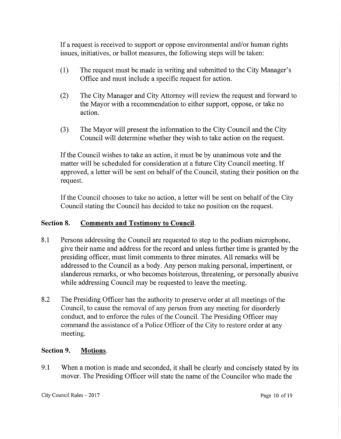If a request is received to support or oppose environmental and/or human rights issues, initiatives, or ballot measures, the following steps will be taken:

- (1) The request must be made in writing and submitted to the City Manager's Office and must include a specific request for action.
- (2) The City Manager and City Attorney will review the request and forward to the Mayor with a recommendation to either support, oppose, or take no action.
- (3) The Mayor will present the information to the City Council and the City Council will determine whether they wish to take action on the request.

If the Council wishes to take an action, it must be by unanimous vote and the matter will be scheduled for consideration at a future City Council meeting. If approved, a letter will be sent on behalf of the Council, stating their position on the request.

If the Council chooses to take no action, a letter will be sent on behalf of the City Council stating the Council has decided to take no position on the request.

# **Section 8. Comments and Testimony to Council.**

- 8.1 Persons addressing the Council are requested to step to the podium microphone, give their name and address for the record and unless further time is granted by the presiding officer, must limit comments to three minutes. All remarks will be addressed to the Council as a body. Any person making personal, impertinent, or slanderous remarks, or who becomes boisterous, threatening, or personally abusive while addressing Council may be requested to leave the meeting.
- 8.2 The Presiding Officer has the authority to preserve order at all meetings of the Council, to cause the removal of any person from any meeting for disorderly conduct, and to enforce the rules of the Council. The Presiding Officer may command the assistance of a Police Officer of the City to restore order at any meeting.

# **Section 9. Motions.**

9.1 When a motion is made and seconded, it shall be clearly and concisely stated by its mover. The Presiding Officer will state the name of the Councilor who made the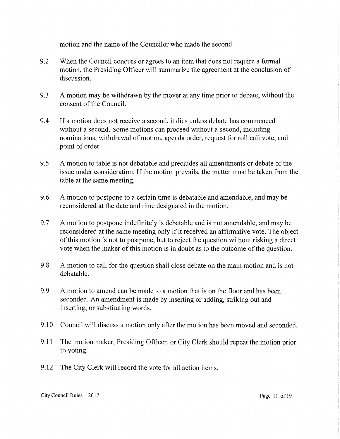motion and the name of the Councilor who made the second.

- 9.2 When the Council concurs or agrees to an item that does not require a formal motion, the Presiding Officer will summarize the agreement at the conclusion of discussion.
- 9.3 A motion may be withdrawn by the mover at any time prior to debate, without the consent of the Council.
- 9 .4 If a motion does not receive a second, it dies unless debate has commenced without a second. Some motions can proceed without a second, including nominations, withdrawal of motion, agenda order, request for roll call vote, and point of order.
- 9.5 A motion to table is not debatable and precludes all amendments or debate of the issue under consideration. If the motion prevails, the matter must be taken from the table at the same meeting.
- 9 .6 A motion to postpone to a certain time is debatable and amendable, and may be reconsidered at the date and time designated in the motion.
- 9.7 A motion to postpone indefinitely is debatable and is not amendable, and may be reconsidered at the same meeting only if it received an affirmative vote. The object of this motion is not to postpone, but to reject the question without risking a direct vote when the maker of this motion is in doubt as to the outcome of the question.
- 9.8 A motion to call for the question shall close debate on the main motion and is not debatable.
- 9.9 A motion to amend can be made to a motion that is on the floor and has been seconded. An amendment is made by inserting or adding, striking out and inserting, or substituting words.
- 9 .10 Council will discuss a motion only after the motion has been moved and seconded.
- 9.11 The motion maker, Presiding Officer, or City Clerk should repeat the motion prior to voting.
- 9.12 The City Clerk will record the vote for all action items.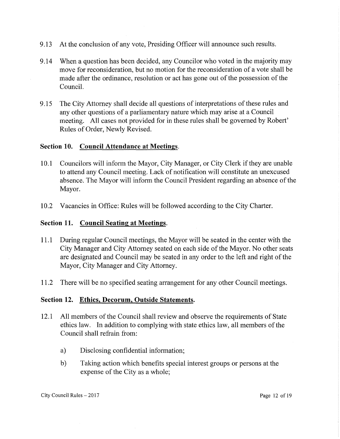- 9 .13 At the conclusion of any vote, Presiding Officer will announce such results.
- 9 .14 When a question has been decided, any Councilor who voted in the majority may move for reconsideration, but no motion for the reconsideration of a vote shall be made after the ordinance, resolution or act has gone out of the possession of the Council.
- 9 .15 The City Attorney shall decide all questions of interpretations of these rules and any other questions of a parliamentary nature which may arise at a Council meeting. All cases not provided for in these rules shall be governed by Robert' Rules of Order, Newly Revised.

#### **Section 10. Council Attendance at Meetings.**

- 10.1 Councilors will inform the Mayor, City Manager, or City Clerk if they are unable to attend any Council meeting. Lack of notification wiH constitute an unexcused absence. The Mayor will inform the Council President regarding an absence of the Mayor.
- 10.2 Vacancies in Office: Rules will be followed according to the City Charter.

### **Section 11. Council Seating at Meetings.**

- 11.1 During regular Council meetings, the Mayor will be seated in the center with the City Manager and City Attorney seated on each side of the Mayor. No other seats are designated and Council may be seated in any order to the left and right of the Mayor, City Manager and City Attorney.
- 11.2 There will be no specified seating arrangement for any other Council meetings.

#### **Section 12. Ethics, Decorum, Outside Statements.**

- 12.1 All members of the Council shall review and observe the requirements of State ethics law. In addition to complying with state ethics law, all members of the Council shall refrain from:
	- a) Disclosing confidential information;
	- b) Taking action which benefits special interest groups or persons at the expense of the City as a whole;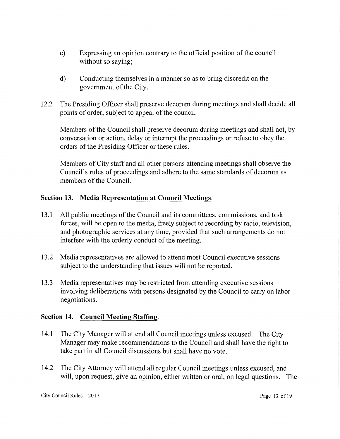- c) Expressing an opinion contrary to the official position of the council without so saying;
- d) Conducting themselves in a manner so as to bring discredit on the government of the City.
- 12.2 The Presiding Officer shall preserve decorum during meetings and shall decide all points of order, subject to appeal of the council.

Members of the Council shall preserve decorum during meetings and shall not, by conversation or action, delay or interrupt the proceedings or refuse to obey the orders of the Presiding Officer or these rules.

Members of City staff and all other persons attending meetings shall observe the Council's rules of proceedings and adhere to the same standards of decorum as members of the Council.

## **Section 13. Media Representation at Council Meetings.**

- 13.1 All public meetings of the Council and its committees, commissions, and task forces, will be open to the media, freely subject to recording by radio, television, and photographic services at any time, provided that such arrangements do not interfere with the orderly conduct of the meeting.
- 13 .2 Media representatives are allowed to attend most Council executive sessions subject to the understanding that issues will not be reported.
- 13 .3 Media representatives may be restricted from attending executive sessions involving deliberations with persons designated by the Council to carry on labor negotiations.

#### **Section 14. Council Meeting Staffing.**

- 14.1 The City Manager will attend all Council meetings unless excused. The City Manager may make recommendations to the Council and shall have the right to take part in all Council discussions but shall have no vote.
- 14.2 The City Attorney will attend all regular Council meetings unless excused, and will, upon request, give an opinion, either written or oral, on legal questions. The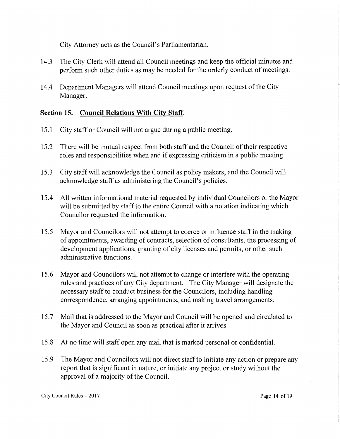City Attorney acts as the Council's Parliamentarian.

- 14.3 The City Clerk will attend all Council meetings and keep the official minutes and perform such other duties as may be needed for the orderly conduct of meetings.
- 14.4 Department Managers will attend Council meetings upon request of the City Manager.

# **Section 15. Council Relations With City Staff.**

- 15 .1 City staff or Council will not argue during a public meeting.
- 15 .2 There will be mutual respect from both staff and the Council of their respective roles and responsibilities when and if expressing criticism in a public meeting.
- 15 .3 City staff will acknowledge the Council as policy makers, and the Council will acknowledge staff as administering the Council's policies.
- 15 .4 All written informational material requested by individual Councilors or the Mayor will be submitted by staff to the entire Council with a notation indicating which Councilor requested the information.
- 15.5 Mayor and Councilors will not attempt to coerce or influence staff in the making of appointments, awarding of contracts, selection of consultants, the processing of development applications, granting of city licenses and permits, or other such administrative functions.
- 15.6 Mayor and Councilors will not attempt to change or interfere with the operating rules and practices of any City department. The City Manager will designate the necessary staff to conduct business for the Councilors, including handling correspondence, arranging appointments, and making travel arrangements.
- 15.7 Mail that is addressed to the Mayor and Council will be opened and circulated to the Mayor and Council as soon as practical after it arrives.
- 15.8 At no time will staff open any mail that is marked personal or confidential.
- 15.9 The Mayor and Councilors will not direct staff to initiate any action or prepare any report that is significant in nature, or initiate any project or study without the approval of a majority of the Council.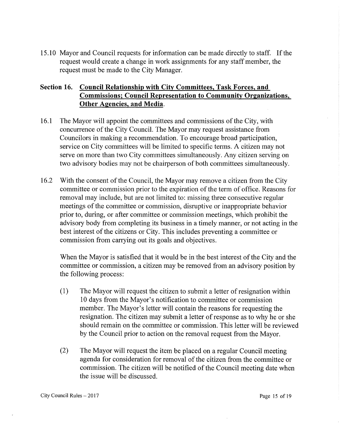15 .10 Mayor and Council requests for information can be made directly to staff. If the request would create a change in work assignments for any staff member, the request must be made to the City Manager.

# **Section 16. Council Relationship with City Committees, Task Forces, and Commissions; Council Representation to Community Organizations, Other Agencies, and Media.**

- 16.1 The Mayor will appoint the committees and commissions of the City, with concurrence of the City Council. The Mayor may request assistance from Councilors in making a recommendation. To encourage broad participation, service on City committees will be limited to specific terms. A citizen may not serve on more than two City committees simultaneously. Any citizen serving on two advisory bodies may not be chairperson of both committees simultaneously.
- 16.2 With the consent of the Council, the Mayor may remove a citizen from the City committee or commission prior to the expiration of the term of office. Reasons for removal may include, but are not limited to: missing three consecutive regular meetings of the committee or commission, disruptive or inappropriate behavior prior to, during, or after committee or commission meetings, which prohibit the advisory body from completing its business in a timely manner, or not acting in the best interest of the citizens or City. This includes preventing a committee or commission from carrying out its goals and objectives.

When the Mayor is satisfied that it would be in the best interest of the City and the committee or commission, a citizen may be removed from an advisory position by the following process:

- ( 1) The Mayor will request the citizen to submit a letter of resignation within 10 days from the Mayor's notification to committee or commission member. The Mayor's letter will contain the reasons for requesting the resignation. The citizen may submit a letter of response as to why he or she should remain on the committee or commission. This letter will be reviewed by the Council prior to action on the removal request from the Mayor.
- (2) The Mayor will request the item be placed on a regular Council meeting agenda for consideration for removal of the citizen from the committee or commission. The citizen will be notified of the Council meeting date when the issue will be discussed.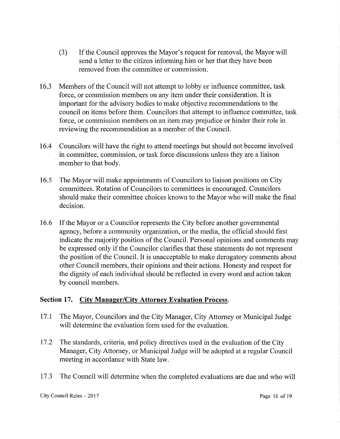- (3) If the Council approves the Mayor's request for removal, the Mayor will send a letter to the citizen informing him or her that they have been removed from the committee or commission.
- 16.3 Members of the Council will not attempt to lobby or influence committee, task force, or commission members on any item under their consideration. It is important for the advisory bodies to make objective recommendations to the council on items before them. Councilors that attempt to influence committee, task force, or commission members on an item may prejudice or hinder their role in reviewing the recommendation as a member of the Council.
- 16.4 Councilors will have the right to attend meetings but should not become involved in committee, commission, or task force discussions unless they are a liaison member to that body.
- 16.5 The Mayor will make appointments of Councilors to liaison positions on City committees. Rotation of Councilors to committees is encouraged. Councilors should make their committee choices known to the Mayor who will make the final decision.
- 16.6 If the Mayor or a Councilor represents the City before another governmental agency, before a community organization, or the media, the official should first indicate the majority position of the Council. Personal opinions and comments may be expressed only if the Councilor clarifies that these statements do not represent the position of the Council. It is unacceptable to make derogatory comments about other Council members, their opinions and their actions. Honesty and respect for the dignity of each individual should be reflected in every word and action taken by council members.

# **Section 17. City Manager/City Attorney Evaluation Process.**

- 17.1 The Mayor, Councilors and the City Manager, City Attorney or Municipal Judge will determine the evaluation form used for the evaluation.
- 17.2 The standards, criteria, and policy directives used in the evaluation of the City Manager, City Attorney, or Municipal Judge will be adopted at a regular Council meeting in accordance with State law.
- 17.3 The Council will determine when the completed evaluations are due and who will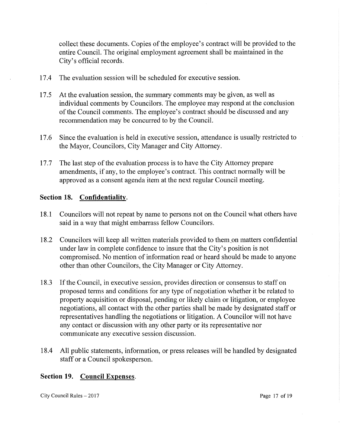collect these documents. Copies of the employee's contract will be provided to the entire Council. The original employment agreement shall be maintained in the City's official records.

- 17.4 The evaluation session will be scheduled for executive session.
- 17 .5 At the evaluation session, the summary comments may be given, as well as individual comments by Councilors. The employee may respond at the conclusion of the Council comments. The employee's contract should be discussed and any recommendation may be concurred to by the Council.
- 17 .6 Since the evaluation is held in executive session, attendance is usually restricted to the Mayor, Councilors, City Manager and City Attorney.
- 17.7 The last step of the evaluation process is to have the City Attorney prepare amendments, if any, to the employee's contract. This contract normally will be approved as a consent agenda item at the next regular Council meeting.

## **Section 18. Confidentiality.**

- 18.1 Councilors will not repeat by name to persons not on the Council what others have said in a way that might embarrass fellow Councilors.
- 18.2 Councilors will keep all written materials provided to them\_on matters confidential under law in complete confidence to insure that the City's position is not compromised. No mention of information read or heard should be made to anyone other than other Councilors, the City Manager or City Attorney.
- 18.3 If the Council, in executive session, provides direction or consensus to staff on proposed terms and conditions for any type of negotiation whether it be related to property acquisition or disposal, pending or likely claim or litigation, or employee negotiations, all contact with the other parties shall be made by designated staff or representatives handling the negotiations or litigation. A Councilor will not have any contact or discussion with any other party or its representative nor communicate any executive session discussion.
- 18.4 All public statements, information, or press releases will be handled by designated staff or a Council spokesperson.

#### **Section 19. Council Expenses.**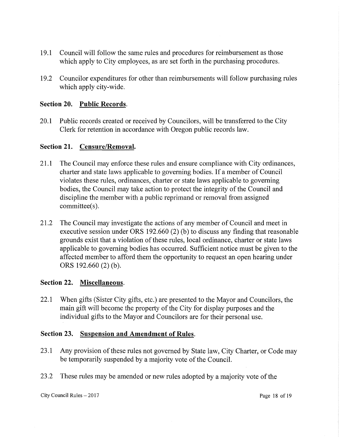- 19 .1 Council will follow the same rules and procedures for reimbursement as those which apply to City employees, as are set forth in the purchasing procedures.
- 19 .2 Councilor expenditures for other than reimbursements will follow purchasing rules which apply city-wide.

### **Section 20. Public Records.**

20.1 Public records created or received by Councilors, will be transferred to the City Clerk for retention in accordance with Oregon public records law.

#### **Section 21. Censure/Removal.**

- 21.1 The Council may enforce these rules and ensure compliance with City ordinances, charter and state laws applicable to governing bodies. If a member of Council violates these rules, ordinances, charter or state laws applicable to governing bodies, the Council may take action to protect the integrity of the Council and discipline the member with a public reprimand or removal from assigned committee(s).
- 21.2 The Council may investigate the actions of any member of Council and meet in executive session under ORS 192.660 (2) (b) to discuss any finding that reasonable grounds exist that a violation of these rules, local ordinance, charter or state laws applicable to governing bodies has occurred. Sufficient notice must be given to the affected member to afford them the opportunity to request an open hearing under ORS  $192.660(2)$  (b).

#### **Section 22. Miscellaneous.**

22.1 When gifts (Sister City gifts, etc.) are presented to the Mayor and Councilors, the main gift will become the property of the City for display purposes and the individual gifts to the Mayor and Councilors are for their personal use.

#### **Section 23. Suspension and Amendment of Rules.**

- 23.1 Any provision of these rules not governed by State law, City Charter, or Code may be temporarily suspended by a majority vote of the Council.
- 23 .2 These rules may be amended or new rules adopted by a majority vote of the